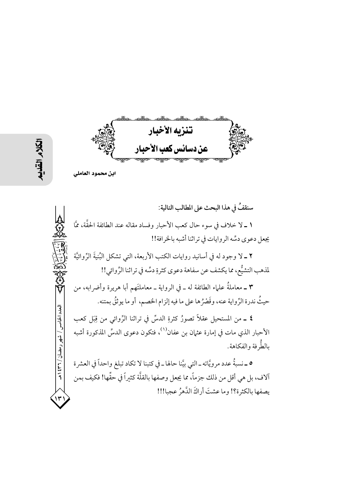تنزيه الأخبار عن دسائس كعب الأحبار

سنقفُ في هذا البحث على المطالب التالية: ١ ــ لا خلاف في سوء حال كعب الأحبار وفساد مقاله عند الطائفة الحقَّة، ممَّا يجعل دعوى دسِّه الروايات في تراثنا أشبه بالخرافة!! ٢ ــ لا وجود له في أسانيد روايات الكتب الأربعة، التي تشكل البُنيةَ الرِّوائيَّة لمذهب التشيُّع، مما يكشف عن سفاهة دعوى كثرةٍ دسِّه في تراثنا الرِّوائي!! ٣ ــ معاملةُ علماء الطائفة له ــ في الرواية ــ معاملتَهم أبا هريرة وأضرابه، من حيثُ ندرة الرِّواية عنه، وقَصْرُها على ما فيه إلزام الخصم، أو ما يوثقُ بمتنه. العدد الخامس / شهر رمضان / ۳۲ ه **٤ ــ** من المستحيل عقلاً تصورُ كثرةِ الدسِّ في تراثنا الرِّوائي من قِبَل كعب الأحبار الذي مات في إمارة عثمان بن عفان<sup>(١)</sup>، فتكون دعوى الدسِّ المذكورة أشبه بالطُّر فة والفكاهة. ٥ ــ نسبةُ عدد مرويَّاته ــ التي بيَّنا حالها ــ في كتبنا لا تكاد تبلغ واحداً في العشرة آلاف، بل هي أقل من ذلك جزماً، مما يجعل وصفها بالقلَّة كثيراً في حقِّها! فكيف بمن يصفها بالكثرة؟! وما عشتَ أراكَ الدَّهرُ عجبا!!!

ابن محمود العاملي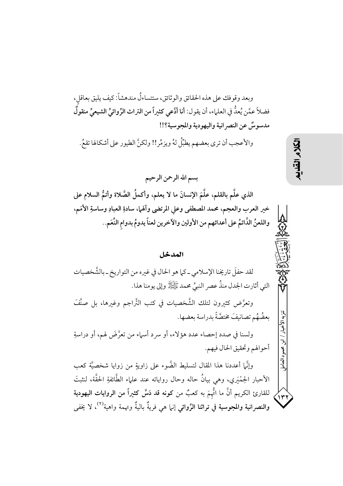وبعد وقوفك على هذه الحقائق والوثائق، ستتساءلُ مندهشاً: كيف يليق بعاقل، فضلاً عمَّن يُعدُّ في العلماء، أن يقول: أنا أدَّعي كثيراً من التراث الرِّوائيِّ الشيعيِّ منقولٌ مدسوسٌ عن النصرانية واليهودية والمجوسية؟!!

والأعجب أن ترى بعضهم يطبِّلُ لهُ ويزمِّر!! ولكنَّ الطيور على أشكالها تقعُ.

بسم الله الرحمن الرحيم الذي علَّم بالقلم، علَّمَ الإنسانَ ما لا يعلم، وأكملُ الصَّلاة وأتمُّ السلام على خير العرب والعجم، محمد المصطفى وعلي المرتضى وآلهما، سادةِ العبادِ وساسةِ الأمَم، واللعنُّ الدَّائمُ على أعدائهم من الأولين والآخرين لعناً يدومُ بدوام النِّعَم..

## المدخل

لقد حفلَ تاريخنا الإسلامي ـ كما هو الحال في غيره من التواريخ ـ بالشَّخصيات التي أثارت الجدل منذُ عصر النبيِّ محمد ﷺ وإلى يومنا هذا. وتعرَّض كثيرون لتلك الشَّخصيات في كتب التَّراجم وغيرها، بل صنَّفَ بِعضُهُم تصانيفَ مختصَّةً بدراسة بِعضها. ولسنا في صدد إحصاء عدد هؤلاء، أو سرد أسماء من تعرَّضَ لهم، أو دراسةِ أحوالهم وتحقيق الحال فيهم. محمود العامإ وإنَّها أعددنا هذا المقال لتسليط الضَّوء على زاويةٍ من زوايا شخصيَّة كعب الأحبار الحِمْيَري، وهي بيانٌ حاله وحال رواياته عند علماء الطَّائفةِ الحقَّة، لنثبتَ للقارئ الكريم أنَّ ما اتُّهمَ به كعبٌ من كونه قد دَسَّ كثيراً من الروايات اليهودية ۱۳۱ والنصرانية والمجوسية في تراثنا الرِّوائي إنها هي فريةٌ باليةٌ وتهمة واهية<sup>(٢)</sup>، لا يخفي

こく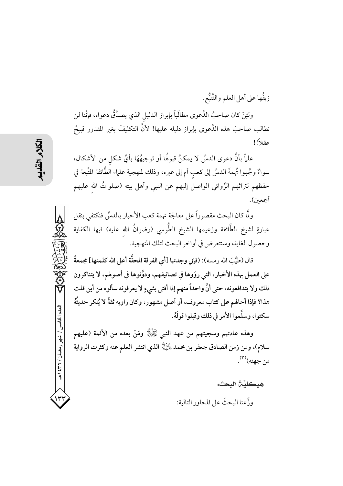زيفُها على أهل العلم والتَّتَبُّع. ولئِنْ كان صاحبُ الدَّعوي مطالَباً بإبراز الدليل الذي يصدِّقُ دعواه، فإنَّنا لن نطالب صاحبَ هذه الدَّعوى بإبراز دليله عليها! لأنَّ التكليفَ بغير المقدور قبيحٌ عقلاً!!

علمًا بأنَّ دعوى الدسِّ لا يمكنُ قبولُها أو توجيهُهَا بأيٍّ شكلٍ من الأشكال، سواءٌ وجَّهوا تُهمةَ الدسِّ إلى كعب أم إلى غيره، وذلك لمنهجية علماء الطَّائفة المتَّبعة في حفظهم لتراثهم الرِّوائي الواصل إليهم عن النبي وأهل بيته (صلواتٌ الله عليهم أجمعين).

ولَّا كان البحث مقصوراً على معالجة تهمة كعب الأحبار بالدسِّ فنكتفى بنقل عبارةٍ لشيخ الطَّائفة وزعيمها الشيخ الطُّوسى (رضوانُ الله عليه) فيها الكفاية وحصول الغاية، وسنتعرض في أواخر البحث لتلك المنهجية.

قال (طيَّبَ الله رمسه): (فإني وجدتها [أي الفرقة المحقَّة أعلى الله كلمتها] مجمعةً على العمل بهذه الأخبار، التي روَوها في تصانيفهم، ودوَّنوها في أصولهم، لا يتناكرون ذلك ولا يتدافعونه، حتى أنَّ واحداً منهم إذا أفتى بشيءٍ لا يعرفونه سألوه من أين قلت هذا؟ فإذا أحالهم على كتاب معروف، أو أصل مشهور، وكان راويه ثقةً لا يُنكر حديثُهُ سكتوا، وسلَّموا الأمر في ذلك وقبلوا قولَهُ.

وهذه عادتهم وسجيتهم من عهد النبي ﷺ ومَنْ بعده من الأئمة (عليهم سلام)، ومن زمن الصادق جعفر بن محمد لِلتِّهِ إلذي انتشر العلم عنه وكثرت الرواية من جهته)<sup>(۳)</sup>.

هيكليَّيُّ البحث:

و ذَّعنا البحثَ على المحاور التالية:

العدد الخامس / شهر رمضان / ۲۳۱ ه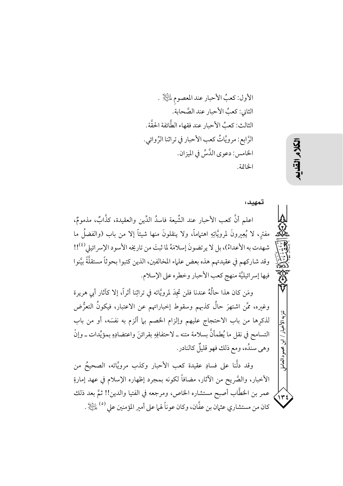الأول: كعبُ الأحبار عند المعصوم للتِّلاِ . الثاني: كعبُ الأحبار عند الصَّحابة. الثالث: كعبُ الأحبارِ عند فقهاء الطَّائفة الحقَّة. الرَّابِع: مرويَّاتُ كعبِ الأحبارِ في تراثنا الرِّوائي. الخامس: دعوى الدَّسِّ في الميزان. الخاتمة.

تمهيدء اعلم أنَّ كعب الأحبار عند الشِّيعة فاسدُ الدِّين والعقيدة، كذَّابٌ، مذمومٌ، مفتر، لا يُعِيرونَ لمرويَّاتِهِ اهتلمامًا، ولا ينقلونَ منها شيئاً إلا من باب (والفضلُ ما شهدت به الأعداءُ)، بل لا يرتضونَ إسلامَهُ لما ثبتَ من تاريخه الأسود الإسر ائيلي (18)! وقد شاركهم في عقيدتهم هذه بعض علماء المخالفين، الذين كتبوا بحوثاً مستقلَّةً بيَّنوا فيها إسرائيليَّة منهج كعب الأحبار وخطره على الإسلام.

ومَن كان هذا حالُهُ عندنا فلن تجدَ لمرويَّاته في تراثِنا أثراً، إلا كآثار أبي هريرة وغيره، ممَّن اشتهرَ حالٌ كذبهم وسقوط إخباراتهم عن الاعتبار، فيكونُ التعرُّض لذكرِها من باب الاحتجاج عليهم وإلزام الخصم بىما ألزم به نفسَه، أو من باب التسامح في نقل ما يُطمأنَّ بسلامة متنه ــ لاحتفافِهِ بقرائنَ واعتضادِهِ بمؤيِّدات ــ وإنْ وهي سندُه، ومع ذلك فهو قليلٌ كالنادر.

وقد دلَّنا على فسادِ عقيدة كعب الأحبار وكذب مرويَّاته، الصحيحُ من الأخبار، والصَّريح من الآثار، مضافاً لكونه بمجرد إظهاره الإسلام في عهد إمارةِ عمر بن الخطَّاب أصبح مستشاره الخاص، ومرجعه في الفتيا والدين!! ثمَّ بعد ذلك كان من مستشاري عثيان بن عفَّان، وكان عو ناً لهـا على أمير المؤمنين على <sup>(٥)</sup> الثَّالِرُ . تنزيه الأخسار

/ ابن محمود العامل

۱۳٤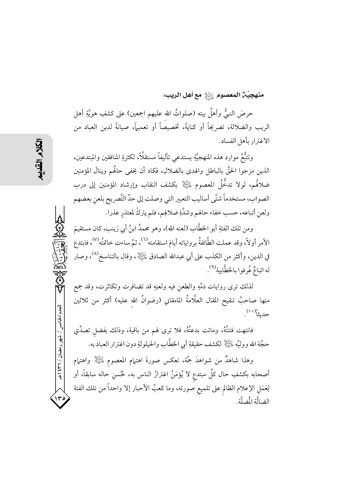## منهجيَّنَّ المعصوم  $\mathbb{R}^2$  مع أهل الريب:

حرصَ النبيُّ وأهلُ بيته (صلواتُ الله عليهم اجمعين) على كشفِ هويَّةِ أهل الريب والضلالة، تصريحاً أو كنايةً، تخصيصاً أو تعميهاً، صيانةً لدين العباد من الاغترار بأهل الفساد.

وتتبُّعُ موارد هذه المنهجيَّةِ يستدعى تأليفاً مستقلَّاً، لكثرةِ المنافقين والمبتدعين، الذين مزجوا الحقَّ بالباطل والهدى بالضلال، فكاد أن يخفى حالُهم وينالَ المؤمنين ضلالهُم، لولا تدخُّلُ المعصوم ﷺ بكشف النقاب وإرشاد المؤمنين إلى درب الصواب، مستخدماً شتَّى أساليب التعبير التي وصلت إلى حدِّ التَّصريح بلعن بعضهم ولعن أتباعه، حسب خفاء حالهم وشدَّةِ ضلالهِم، فلم يتركْ لمعتذرِ عذرا.

ومن تلك الفئةِ أبو الخطَّاب (لعنه الله)، وهو محمدُ ابنُ أبي زينب، كان مستقيمَ الأمر أولاً، وقد عملت الطَّائفةُ برواياته أيامَ استقامته<sup>(٦)</sup>، ثمَّ ساءت خاتمتُه<sup>(٧)</sup>، فابتدع في الدين، وأكثر من الكذب على أبي عبدالله الصادق لِمَلِيَّالٍا ، وقال بالتناسخ<sup>(٨)</sup>، وصار له اتباعٌ عُرفوا بالخطَّابية <sup>(٩)</sup>.

لذلك ترى روايات ذمِّهِ والطعن فيه ولعنِهِ قد تضافرت وتكاثرت، وقد جمع منها صاحبٌ تنقيح المقال العلَّامةُ المامقاني (رضوانُ الله عليه) أكثر من ثلاثين حديثاً''')<sub>.</sub>

فانتهت فتنتُهُ، وماتت بدعتُهُ، فلا ترى لهم من باقية، وذلك بفضل تصدِّي حجَّة الله ووليِّه لِلتِّلِلَّا لكشف حقيقةِ أبي الخطَّاب والحيلولةِ دون اغترار العباد به.

وهذا شاهدٌ من شواهدَ جمَّة، تعكس صورةَ اهتمام المعصوم لِلَّـٰلِهِ ۖ واهتمام أصحابه بكشفِ حال كلِّ مبتدع لا يُؤمَنُ اغترارُ الناس به، لحُسنِ حاله سابقاً، أو لِعَمَلِ الإعلامِ الظالمِ على تلميع صورته، وما كعبُ الأحبار إلا واحداً من تلك الفئة الضالَّة الْمَبلَّة.

العدد الخامس / شهر رمضان / ۳۶۲ ه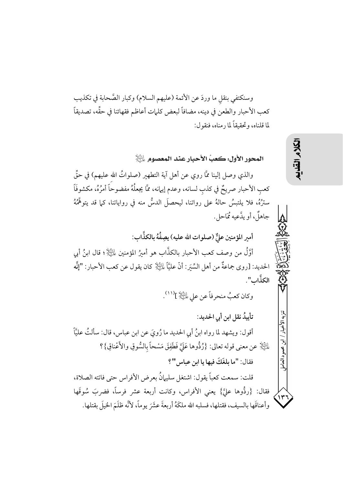وسنكتفي بنقل ما وردَ عن الأئمة (عليهم السلام) وكبار الصَّحابة في تكذيب كعب الأحبار والطعن في دينه، مضافاً لبعض كلمات أعاظم فقهائنا في حقِّه، تصديقاً لما قلناه، وتحقيقاً لما دمناه، فنقول:

المحور الأول: كعبُ الأحبارِ عند المعصومِ ﷺ والذي وصل إلينا ممَّا روى عن أهل آية التطهير (صلواتُ الله عليهم) في حقِّ كعب الأحبار صريحٌ في كذب لسانه، وعدم إيهانه، ممَّا يجعلُهُ مفضوحًا أمرُهُ، مكشوفَاً سترُهُ، فلا يلتبسُ حالهُ على رواتنا، ليحصلَ الدسُّ منه في رواياتنا، كما قد يتوهَّمُهُ جاهلٌ، أو يدَّعيه مُمَاحل. أمير المؤمنين عليٌّ (صلوات الله عليه) يصِفُهُ بالكذَّاب: أَوَّلُ من وصف كعب الأحبار بالكذَّاب هو أميرُ المؤمنين لِمائِيلٍٚ ؛ قال ابنُ أبي الحديد: [روى جماعةٌ من أهل السِّيَر: أنَّ عليَّاً  $للَّيِّلا كان يقول عن كعب الأحبار: "إنَّه$ الكذَّاب". وكان كعبُ منحرفاً عن على التَّلِإِ ](١١). تأييدُ نقل ابن أبي الحديد: أقول: ويشهد لما رواه ابنُ أبي الحديد ما رُويَ عن ابن عباس، قال: سألتُ عليَّاً

ءَلِنَيْالٍا عن معنى قوله تعالى: {رُدُّوها عَلَيَّ فَطَفِقَ مَسْحاً بِالسُّوقِ والأَعْناقِ}؟ فقال: "ما بلغَكَ فيها يا ابن عباس"؟

قلت: سمعت كعباً يقول: اشتغل سليهانُ بعرض الأفراس حتى فاتته الصلاة، فقال: {ردُّوها عليَّ} يعني الأفراس، وكانت أربعة عشر فرساً، فضربَ سُوقَها وأعناقَها بالسيف، فقتلها، فسلبه الله ملكَهُ أربعةَ عشَرَ يوماً، لأنَّه ظلَمَ الخيلَ بقتلها. الكلام القلاب

تنزيه الأخدا

ابن محمود العامل

 $\mathbf{w}$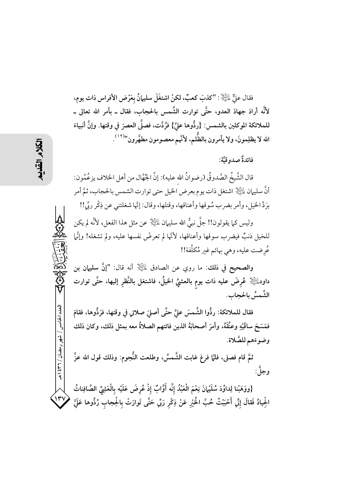فقال عليٌّ لِلنَّيْلِا : "كذبَ كعبٌ، لكنْ اشتغَلَ سليهانُ بعَرْض الأفراس ذات يوم، لأَنَّه أرادَ جهادَ العدو، حتَّى توارت الشَّمس بالحجاب، فقال ــ بأمر الله تعالى ــ للملائكة الموكلين بالشمس: {ردُّوها عليَّ} فرُدَّت، فصلَّى العصرَ في وقتها. وإنَّ أنبياءَ الله لا يظلِمونَ، ولا يأمرون بالظُّلم، لأنَّهم معصومون مطهَّرون''<sup>(١٢)</sup>.

فائدةٌ صدوقيَّة:

قال الشَّيخُ الصَّدوقُ (رضوانُ الله عليه): إنَّ الجُهَّال من أهل الخلاف يزعُمُون: أنَّ سليهان عليَّالٍا اشتغل ذات يوم بعرض الخيل حتى توارت الشمس بالحجاب، ثمَّ أمر برَدِّ الخيلِ، وأمر بضرب سُوقها وأعناقها، وقتلها، وقال: إنَّها شغلتني عن ذِكْرٍ ربِّي!!

وليس كما يقولون!! جلَّ نبيُّ الله سليهان لِمَليَّكَلاٍ عن مثل هذا الفعل، لأنَّه لم يكن للخيل ذنبٌ فيضرب سوقها وأعناقها، لأنَّها لم تعرضْ نفسها عليه، ولم تشغله! وإنَّل عُرضت عليه، وهي بهائم غبر مُكلَّفة!!

والصحيح في ذلك: ما روي عن الصادق لِلنَّيْلَا ۚ أنه قال: "إنَّ سليهان بن داود $\mathbb{H}$  عُرِضَ عليه ذات يوم بالعشيِّ الخيلُ، فاشتغل بالنَّظرِ إليها، حتَّى توارت الشَّمسُ بالحجاب.

فقال للملائكة: ردُّوا الشَّمسَ عليَّ حتَّى أصلىَ صلاتي في وقتها، فرَدُّوها، فقامَ فَمَسَحَ ساقَيْهِ وعنُقَهُ، وأمرَ أصحابَهُ الذين فاتتهم الصلاةُ معه بمثل ذلك، وكان ذلك وضوءَهم للصَّلاة.

ثمَّ قام فصلى، فلمَّا فرغ غابت الشَّمسُ، وطلعت النُّجوم: وذلك قول الله عزَّ و جلَّ:

{ووَهَبْنا لِداوُدَ سُلَيْهانَ نِعْمَ الْعَبْدُ إنَّه أَوَّابٌ إذْ عُرضَ عَلَيْه بِالْعَثِيِّ الصَّافِناتُ  $1 - 1$ الْجِيادُ فَقالَ إِنِّي أَحْبَبْتُ حُبَّ الْحَيْرِ عَنْ ذِكْرٍ رَبِّي حَتَّى تَوارَتْ بِالْحِجابِ رُدُّوها عَلَيّ

العدد الخامس / شهر رمضان / ۲۳۱ ه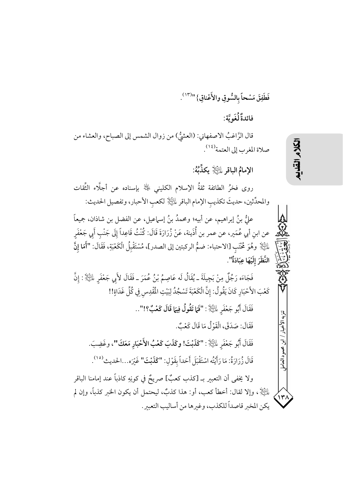فَطَفِقَ مَسْحاً بِالسُّوقِ والأَعْناقِ} "<sup>(١٣)</sup>.

فائدةٌ لُغَو يَّة:

قال الرَّاغبُ الاصفهاني: (العشيُّ) من زوال الشمس إلى الصباح، والعشاء من صلاة المغرب إلى العتمة (١٤).

الإمامُ الباقرِ عليَّالاٍ يكذِّبُهُ:

روى فخرُ الطائفة ثقةُ الإسلام الكليني ﷺ بإسناده عن أجلَّاء الثِّقات والمحدِّثين، حديثَ تكذيب الإمام الباقر لِلتِّلا إلكعب الأحبار، وتفصيل الحديث:

علُّ بنُ إبراهيم، عن أبيه؛ ومحمدُ بنُ إسماعيل، عن الفضل بن شاذان، جميعاً عن ابن أبي عُمَير، عن عمر بن أُذَينة، عَنْ زُرَارَةَ قَالَ: كُنْتُ قَاعِداً إِلَى جَنْبِ أَبِي جَعْفَرِ للَّيْلَا ۚ وهُوَ مُحْتَبِ [الاحتباء: ضمُّ الركبتين إلى الصدر]، مُسْتَقْبِلُ الْكَعْبَةِ، فَقَالَ: "أَمَا إِنَّ النَّظَرَ إِلَيْهَا عِبَادَةٌ".

فَجَاءَه رَجُلٌ مِنْ بَجِيلَةَ ـ يُقَالُ لَه عَاصِمُ بْنُ عُمَرَ ـ فَقَالَ لأَبِي جَعْفَرِ لِلَّيْلِا : إِنَّ كَعْبَ الأَحْبَارِ كَانَ يَقُولُ: إِنَّ الْكَعْبَةَ تَسْجُدُ لِبَيْتِ الْمُفْدِسِ فِي كُلِّ غَدَاةٍ!! فَقَالَ أَبُو جَعْفَرِ لِمَلِيَّانٍ : "فَمَا تَقُولُ فِيهَا قَالَ كَعْبٌ؟!"..

فَقَالَ: صَدَقَ، الْقَوْلُ مَا قَالَ كَعْبٌ.

فَقَالَ أَبُو جَعْفَرِ لِلَّيْلِا : "كَذَبْتَ! وكَذَبَ كَعْبُ الأَحْبَارِ مَعَكَ"، وغَضِبَ. قَالَ زُرَارَةُ: مَا رَأَيْتُه اسْتَقْبَلَ أَحَداً بِقَوْلِ: "كَلَبْتَ" غَيْرَه...الحديث<sup>(١٥)</sup>.

ولا يخفي أن التعبير بـ [كذب كعبٌ] صريحٌ في كونِهِ كاذباً عند إمامنا الباقر لِيَلَيْلِا ، وإلا لقال: أخطأ كعب، أو: هذا كذبٌ، ليحتمل أن يكون الخبر كذباً، وإن لم يكن المخبر قاصداً للكذب، وغيرها من أساليب التعبر.

## الكلام القلابه

تنزيه الأخبار

، ابن محمود العامل

 $(\mathsf{y})$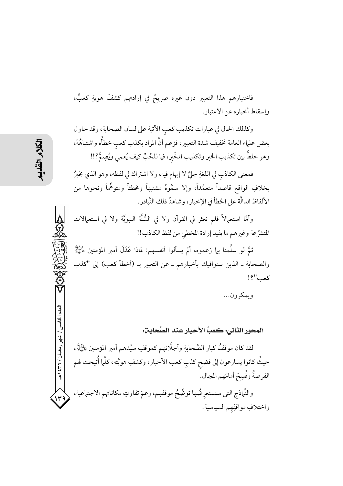فاختيارهم هذا التعبير دون غيره صريحٌ في إرادتهم كشفَ هويةِ كعبٍّ، وإسقاط أخباره عن الاعتبار.

وكذلك الحال في عبارات تكذيب كعب الآتية على لسان الصحابة، وقد حاول بعض علماء العامة تخفيف شدة التعبير، فزعم أنَّ المراد بكذب كعب خطأُه واشتباهُهُ، وهو خلطٌّ بين تكذيب الخبر وتكذيب المخْبر، فيا للحُبِّ كيف يُعمى ويُصِمُّ؟!!

فمعنى الكاذب في اللغةِ جلِّ لا إبهام فيه، ولا اشتراك في لفظه، وهو الذي يخبرُ بخلافِ الواقع قاصداً متعمِّداً، وإلا سمَّوهُ مشتبهاً ومخطئاً ومتوهِّماً ونحوها من الألفاظ الدالَّة على الخطأ في الإخبار، وشاهدُ ذلك التَّبادر.

وأمَّا استعمالاً فلم نعثر في القرآن ولا في السُّنَّة النبويَّة ولا في استعمالات المتشرِّعة وغيرهم ما يفيد إرادة المخطئ من لفظ الكاذب!!

ثمَّ لو سلَّمنا بلم زعموه، ألم يسألوا أنفسهم: لماذا عَدَلَ أمير المؤمنين لِلثِّيالِإ والصحابة ـ الذين سنوافيك بأخبارهم ـ عن التعبير بـ (أخطأ كعب) إلى "كذب كعب"؟!

ويمكرون...

المحور الثاني: كعبُ الأحبارِ عند الصَّحابِــٰ;.

لقد كان موقفُ كبار الصَّحابةِ وأجلَّائهم كموقفِ سيِّدهم أمير المؤمنين لِلتِّلِلهِ ، حيثُ كانوا يسارعون إلى فضح كذب كعب الأحبار، وكشفِ هويَّته، كلَّما أُتيحت لهم الفرصةُ وفُسِحَ أمامَهم المجال.

والنَّهاذج التي سنستعرِضُها توضُّحُ موقفهم، رغمَ تفاوتِ مكاناتهم الاجتماعية، واختلافٍ مواقفِهم السياسية.

مدد الخامس

، شهر رمضان / ۲۳۱ ) هـ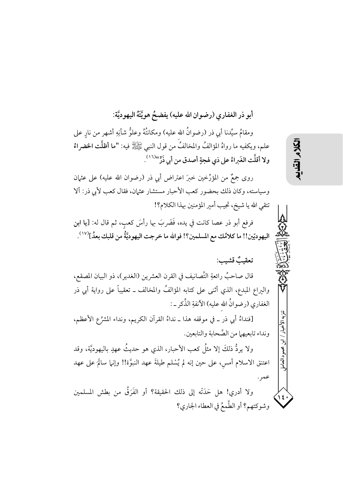أبو ذر الغفاري (رضوان الله عليه) يفضحُ هويَّتَهُ اليهوديَّة:

ومقامُ سيِّدنا أبي ذر (رضوانُ الله عليه) ومكانتُهُ وعلوُّ شأنِهِ أشهر من نارِ على علم، ويكفيه ما رواهُ المؤالفُ والمخالفُ من قول النبي ﷺ فيه: "ما أظلَّت الخضراءُ ولا أقلَّت الغَبراءُ على ذي لهجةٍ أصدق من أبي ذَرٍّ "<sup>(١٦)</sup>.

روى جمعٌ من المؤرِّخين خبرَ اعتراض أبي ذر (رضوان الله عليه) على عثمان وسياسته، وكان ذلك بحضور كعب الأحبار مستشار عثمان، فقال كعب لأبي ذر: ألا تتقى الله يا شيخ، تجيب أمير المؤمنين بهذا الكلام؟!

فرفع أبو ذر عصا كانت في يده، فَضَربَ بها رأسَ كعبٍ، ثم قال له: [يا ابن اليهوديّين!! ما كلامُك مع المسلمين؟! فوالله ما خرجت اليهوديَّةُ من قلبك بعدُ]<sup>(١٧)</sup> .

تعقيبٌ قشيب:

قال صاحبٌ رائعةِ التَّصانيف في القرن العشرين (الغدير)، ذو البيان المصقع، واليراع المبدع، الذي أثنى على كتابه المؤالفُ والمخالف ــ تعقيباً على رواية أبي ذر الغفاري (رضوانٌ الله عليه) الآنفةِ الذِّكرِ ـ :

[فنداءُ أبي ذر ـ في موقفه هذا ـ نداءُ القرآن الكريم، ونداء المشرِّع الأعظم، ونداء تابعيهما من الصَّحابة والتابعين.

ولا يردُّ ذلكَ إلا مثلُ كعب الأحبار، الذي هو حديثُ عهدٍ باليهوديَّة، وقد اعتنق الاسلام أمس، على حين إنه لم يُسْلم طيلةَ عهد النبوَّة!! وإنيا سالَمَ على عهد عمر

ولا أدري! هل حَدَتْه إلى ذلك الحقيقة؟ أو الفَرَقُ من بطش المسلمين وشوكتهم؟ أو الطَّمعُ في العطاء الجاري؟ تنزيه الأخبار

ابن محمود العامل

 $\frac{1}{2}$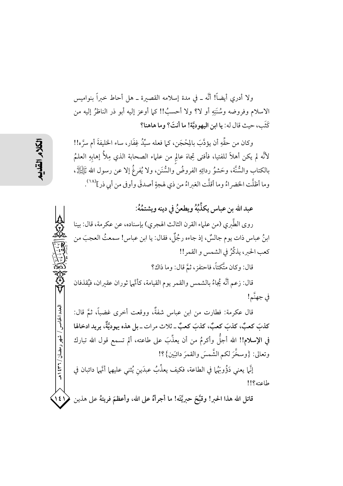ولا أدرى أيضاً! أنَّه \_ في مدة إسلامه القصىرة \_ هل أحاط خىراً بنواميس الاسلام وفروضه وسُنَنِهِ أو لا؟ ولا أحسبُ!! كما أوعز إليه أبو ذر الناظرُ إليه من كَثَبٍ، حيث قال له: يا ابن اليهوديَّة! ما أنتَ؟ وما هاهنا؟

وكان من حقِّهِ أن يؤدَّبَ بالِحْجَنِ، كما فعله سيِّدُ غِفَارٍ، ساء الخليفةَ أم سرَّه!! لأنَّه لم يكن أهلاً للفتيا، فأفتى تِجاهَ عالِمٍ من علماء الصحابة الذي مِلأُ إهابِهِ العلمُ بِالكتابِ والسُّنَّة، وحَشوُ ردائِهِ الفروضُ والسُّنَنِ، ولا يُفرغُ إلا عن رسول الله ﷺ، وما أظلَّت الخضراءُ وما أقلَّت الغبراءُ من ذي لهجةٍ أصدقَ وأوفى من أبي ذر](١٨).

عبد الله بن عباس يكذِّبُهُ ويطعنُ في دينه ويشتمُهُ:

روى الطَّبري (من علماء القرن الثالث الهجري) بإسناده، عن عكرمة، قال: بينا ابنُ عباس ذات يوم جالسٌ، إذ جاءه رجُلٌ، فقال: يا ابن عباس! سمعتُ العجبَ من كعب الحبر، يذكِّرُ في الشمس و القمر!!

قال: وكان متَّكئاً، فاحتفزٍ، ثمَّ قال: وما ذاكِ؟

قال: زعم أنَّه يُجاءُ بالشمس والقمر يوم القيامة، كأنَّها ثوران عقيران، فيُقذفان في جهنَّم!

قال عكرمة: فطارت من ابن عباس شفةٌ، ووقعت أخرى غضباً، ثمَّ قال: كذبَ كعبٌ، كذبَ كعبٌ، كذبَ كعبٌ ـ ثلاث مرات ـ بل هذه يهوديَّةٌ، يريد ادخالها في الإسلام!! الله أجلُّ وأكرمُ من أن يعذِّبَ على طاعته، ألم تسمع قول الله تبارك وتعالى: {وسخَّرَ لكم الشَّمسَ والقمرَ دائبَين}؟!

إنَّما يعني دَوُّوبَهُما في الطاعة، فكيف يعذِّبُ عبدَين يُثنى عليهما أنَّها دائبان في طاعته؟!!

قاتل الله هذا الحبر! وقبَّحَ حبريَّتَه! ما أجرأهُ على الله، وأعظمَ فريتهُ على هذين ١  $(55)$ 

العدد الخامس / شهر رمضان / ۲۳۱ ه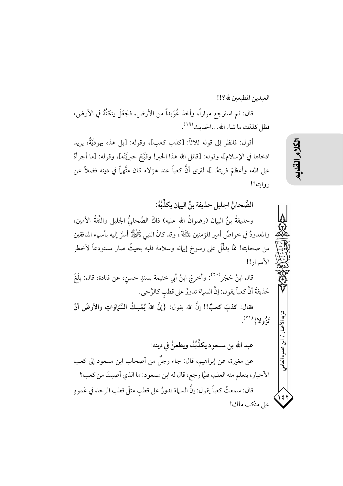العبدين المطبعين لله؟!!

قال: ثم استرجع مراراً، وأخذ عُوَيداً من الأرض، فجَعَلَ ينكتُهُ في الأرض، فظل كذلك ما شاء الله...الحديث<sup>(١٩)</sup>.

أقول: فانظر إلى قوله ثلاثاً: [كذب كعب]، وقوله: [بل هذه يهوديَّةٌ، يريد ادخالها في الإسلام]، وقوله: [قاتل الله هذا الحبر! وقبَّحَ حبريَّتَه]، وقوله: [ما أجرأهُ على الله، وأعظمَ فريتهُ..]، لترى أنَّ كعباً عند هؤلاء كان متَّهماً في دينه فضلاً عن روايته!!

الصَّحابيُّ الجليل حذيفة بنُ اليهان يكذِّبُهُ: وحذيفةٌ بنُ اليهان (رضوانٌ الله عليه) ذاكَ الصَّحابيُّ الجليل والثِّقةُ الأمين، والمعدودُ في خواصٍّ أمير المؤمنين لِماثِيالٍا ، وقد كانَ النبي ﷺ أسرَّ إليه بأسماء المنافقين من صحابته! ممَّا يدلُّلُ على رسوخ إيهانه وسلامة قلبه بحيثُ صار مستودعاً لأخطر الأسرار!!

قال ابنُ حَجَر<sup>(٢٠)</sup>: وأخرجَ ابنُ أبي خثيمة بسندٍ حسن، عن قتادة، قال: بلَغَ حُذيفةَ أنَّ كعباً يقول: إنَّ السهاءَ تدورُ على قطبِ كالرَّحي.

فقال: كذبَ كعبٌ!! إنَّ الله يقول: {إنَّ اللهَ يُمْسِكُ السَّبَاوَاتِ والأرضَ أنْ تَزُولا} (٢١).

عبد الله بن مسعود يكذِّبُهُ، ويطعنُ في دينه: عن مغيرة، عن إبراهيم، قال: جاء رجلٌ من أصحاب ابن مسعود إلى كعب الأحبار، يتعلم منه العلم، فلمَّا رجع، قال له ابن مسعود: ما الذي أصبتَ من كعب؟ قال: سمعتُ كعباً يقول: إنَّ السماءَ تدورُ على قطب مثلَ قطب الرحا، في عَمودٍ على منكب ملك!

以外

تنزيه الأخبار

ابن محمود العامل

۱٤١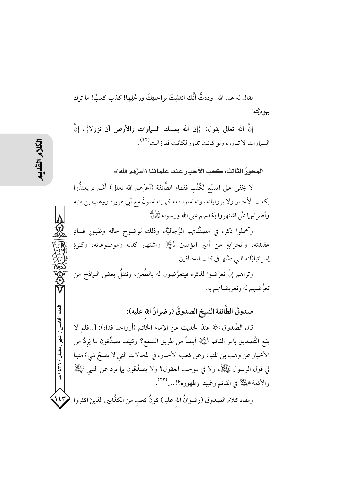فقال له عبد الله: وددتُّ أنَّك انقلبتَ براحلتكَ ورحْلِها! كذب كعبٌ! ما ترك يهوديَّته!

إنَّ الله تعالى يقول: {إن الله يمسك السياوات والأرض أن تزولا}، إنَّ السياوات لا تدور ، ولو كانت تدور لكانت قد زالت<sup>(٢٢)</sup> .

المحورُ الثالث: كعبُ الأحبارِ عند علمائنا (أعزَّهم الله):

لا يخفى على المتتبِّع لكُتُب فقهاءِ الطَّائفة (أعزَّهم الله تعالى) أنَّهم لم يعتدُّوا بكعب الأحبار ولا برواياته، وتعاملوا معه كما يتعاملونَ مع أبي هريرة ووهب بن منبه وأضرابهما ممَّن اشتهروا بكذبهم على الله ورسوله ﷺ.

وأهملوا ذكره في مصنَّفاتهم الرِّجاليَّة، وذلك لوضوح حاله وظهور فسادِ عقيدته، وانحرافِهِ عن أمير المؤمنين لِلتِّالِ واشتهار كذبه وموضوعاته، وكثرةِ إسر ائيليَّاته التي دسَّها في كتب المخالفين.

وتراهم إنْ تعرَّضوا لذكره فيتعرَّضون له بالطَّعن، وننقلٌ بعض النهاذج من تعرُّضهم له وتعريضاتهم به.

صدوقُ الطَّائفة الشيخ الصدوقُ (رضوانُ الله عليه):

قال الصَّدوق ﴿ لَهُ عندَ الحديث عن الإمام الخاتم (أرواحنا فداه): […فلم لا يقع التَّصديق بأمر القائم للَّظِّلِ أيضاً من طريق السمع؟ وكيف يصدِّقون ما يَردُ من الأخبار عن وهب بن المنبه، وعن كعب الأحبار، في المحالات التي لا يصحُ شيءٌ منها في قول الرسول ﷺ، ولا في موجب العقول؟ ولا يصدِّقون بيا يرد عن النبي ﷺ والأئمة لِهِيَلِيْمٌ في القائم وغيبته وظهوره؟!..](٢٣).

ومفاد كلام الصدوق (رضوانُ الله عليه) كونُ كعب من الكذَّابين الذينَ اكثروا  $\langle \mathfrak{sp} \rangle$ 

العدد الخامس / شهر رمضان / ۲۳۱ ه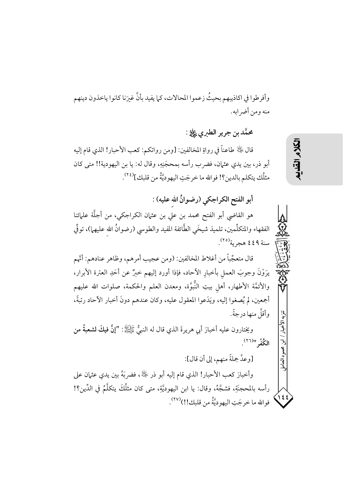وأفرطوا في اكاذيبهم بحيثُ زعموا المحالات، كما يفيد بأنَّ غيرَنا كانوا ياخذون دينهم منه ومن أضر ابه.

محمَّد بن جرير الطيري ڀِلِيُّهِ :

قال ﴿ لَهِ الْهَاءُ طَاعِناً فِي رِواةِ المخالفين: [ومن رواتكم: كعب الأحبار! الذي قام إليه أبو ذر، بين يدي عثمان، فضرب رأسه بمحجَنِهِ، وقال له: يا بن اليهودية!! متى كان مثلُك يتكلم بالدين؟! فوالله ما خرجَتِ اليهوديَّةُ من قلبك]<sup>(٢٤)</sup>.

أبو الفتح الكراجكي (رضوانٌ الله عليه) :

هو القاضي أبو الفتح محمد بن علي بن عثمان الكراجكي، من أجلَّة علمائنا الفقهاء والمتكلِّمين، تلميذ شيخَى الطَّائفة المفيد والطوسى (رضوانُ الله عليهم))، توفِّي سنة ٤٤٩ هجرية<sup>(٢٥)</sup>.

قال متعجِّباً من أغلاط المخالفين: (ومن عجيب أمرهم، وظاهر عنادهم: أنَّهم يرَوْنَ وجوبَ العمل بأخبارِ الآحاد، فإذا أورد إليهم خبرٌ عن أحَدِ العترة الأبرار، والأئمَّة الأطهار، أهل بيتِ النُّبوَّة، ومعدن العلم والحكمة، صلوات الله عليهم أجمعين، لم يُصغوا إليه، ويَدَعوا المعقول عليه، وكان عندهم دونَ أخبار الأحاد رتبةً، وأقلَّ منها در جةً .

ويختارون عليه أخبارَ أبي هريرةَ الذي قال له النبيُّ ﷺ: "إنَّ فيكَ لشعبةً من الكُفْرِ "(٢٦).

[وعدَّ جملةً منهم، إلى أن قال]:

وأخبارَ كعب الأحبار! الذي قام إليه أبو ذر ﴿ لَٰٓ ،فضربَهُ بين يدي عثمان على رأسه بالمحجنَةِ، فشجَّهُ، وقال: يا ابن اليهوديَّةِ، متى كان مثلُكَ يتكلَّمُ في الدِّين؟!  $\frac{122}{122}$ فوالله ما خرجَتِ اليهوديَّةُ من قلبك!!)(٢٧).

# لكلام القلابيم

تنزيه الأخيار

ابن محمود العامل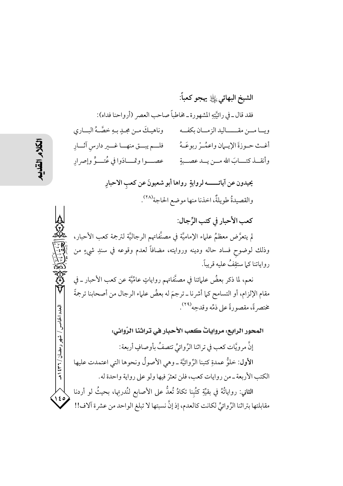الشيخ البهائي إِلَيْٰ يَهْجو كعباً: فقد قال ـ في رائيَّتِهِ المشهورة ـ مخاطباً صاحب العصر (أرواحنا فداه): وناهيـكَ مـن مجـدٍ بـهِ خصَّـهُ البــاري ويـــا مــــن مقــــــــاليد الز مـــان بكفـــه أغـث حـوزةَ الإيـمان واعمُـرْ ربوعَـهُ مصلح فلــم يبــق منهــا غــير دارس آثــارِ عصب وا وقمسادَوا في عُتبوٍّ وإصرار وأنقسذ كتسباب الله مسن يسد عصسية يحيدون عن آياتــــــــــه لروايةٍ رواها أبو شعيونَ عن كعب الاحبارِ والقصيدةُ طويلةٌ، اخذنا منها موضع الحاجة<sup>(٢٨)</sup>. كعب الأحبار في كتب الرِّجال: لم يتعرَّض معظمُ علماء الإماميَّة في مصنَّفاتهم الرجاليَّة لترجمة كعب الأحبار، وذلك لوضوح فساد حاله ودينه وروايته، مضافاً لعدم وقوعه في سندِ شيءٍ من رواياتنا كـما ستقِفُ عليه قريباً. نعم، لما ذكر بعضُ علمائنا في مصنَّفاتهم رواياتٍ عامِّيَّة عن كعب الأحبار ــ في مقام الإلزام، أو التسامح كما أشرنا ـ ترجمَ له بعضُ علماء الرجال من أصحابنا ترجمةً مختصر ةً، مقصورةً على ذمِّه وقدحِه" . لعدد الخامس المحور الرابع: مرواياتٌ كعب الأحبار في تراثنا الرِّوائي: شهر رمضان / ۲۶۱ هـ إنَّ مرويَّات كعب في تراثنا الرِّوائيِّ تتصفُ بأوصافٍ أربعة: الأول: خلوُّ عمدةٍ كتبنا الرِّ وائيَّة \_ وهي الأصو لُ ونحوها التي اعتمدت عليها الكتب الأربعة ــ من روايات كعب، فلن تعثرَ فيها ولو على رواية واحدة له. الثاني: رواياتُهُ في بقيِّةِ كتُبنا تكادُ تُعدُّ على الأصابع لنُدرتِها، بحيثُ لو أردنا  $\sqrt{\frac{2}{1}}$ مقابلتها بتراثنا الرِّوائيِّ لكانت كالعدم، إذ إنَّ نسبتها لا تبلغ الواحد من عشرة آلاف!!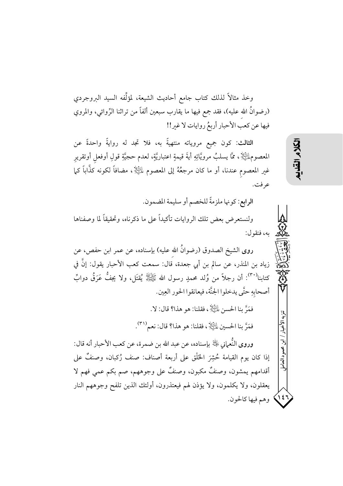وخذ مثالاً لذلك كتاب جامع أحاديث الشيعة، لمؤلِّفه السيد البروجردي (رضوانُ الله عليه)، فقد جمع فيها ما يقارب سبعين ألفاً من تراثنا الرِّوائي، والمروي فيها عن كعب الأحبار أربعُ روايات لا غير!!

الثالث: كون جميع مروياته منتهيةً به، فلا تجد له روايةً واحدةً عن المعصوم $\mathbb{H}$ ي ممَّا يسلبُ مرويَّاتِهِ أيةَ قيمةٍ اعتباريَّةٍ، لعدم حجيَّةِ قولِ أوفعل أوتقريرِ غير المعصوم عندنا، أو ما كان مرجعُهُ إلى المعصوم لِلَّظِيلِ ، مضافاً لكونه كذَّاباً كما عرفت.

الرابع: كونها ملزمةً للخصم أو سليمة المضمون.

ولنستعرض بعض تلك الروايات تأكيداً على ما ذكرناه، وتحقيقاً لما وصفناها به، فنقول:

روى الشيخ الصدوق (رضوانُ الله عليه) بإسناده، عن عمر ابن حفص، عن زياد بن المنذر، عن سالم بن أبي جعدة، قال: سمعت كعب الأحبار يقول: إنَّ في كتابنا``"): أن رجلاً من وُلد محمدٍ رسول الله عَيَجِيلِلهُ يُقتَل، ولا يجفُّ عَرَقُ دوابِّ أصحابهِ حتَّى يدخلوا الجنَّة، فيعانقوا الحور العِين.

فَمَرَّ بِنا الحِسنِ عٰلَيًّالٍ ، فقلنا: هو هذا؟ قال: لا.

فَمَرَّ بِنا الحسين لِلتِّلِلَّا، فقلنا: هو هذا؟ قال: نعم (٣١).

وروى النُّعماني ﷺ بإسناده، عن عبد الله بن ضمرة، عن كعب الأحبار أنه قال: إذا كان يوم القيامة حُشِرَ الخَلْق على أربعة أصناف: صنف رُكبان، وصنفٌ على أقدامهم يمشون، وصنفٌ مكبون، وصنفٌ على وجوههم، صم بكم عمى فهم لا يعقلون، ولا يكلمون، ولا يؤذن لهم فيعتذرون، أولئك الذين تلفح وجوههم النار **۱٤**) وهم فيها كالحون.

تنزيه الأخدار

محمود العامل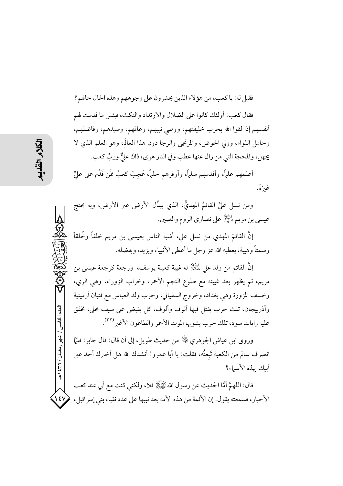فقيل له: يا كعب، من هؤلاء الذين يحشر ون على وجوههم وهذه الحال حالهم؟ فقال كعب: أولئك كانوا على الضلال والارتداد والنكث، فبئس ما قدمت لهم أنفسهم إذا لقوا الله بحرب خليفتهم، ووصى نبيهم، وعالمهم، وسيدهم، وفاضلهم، وحامل اللواء، وولي الحوض، والمرتجى والرجا دون هذا العالَم، وهو العلم الذي لا يجهل، والمحجة التي من زال عنها عطب وفي النار هوي، ذاك عليٌّ وربٍّ كعب.

أعلمهم علمًا، وأقدمهم سلمًا، وأوفرهم حلمًا، عَجِبَ كعبٌ ممَّن قَدَّم على عليٍّ غيرَهُ.

ومن نسل عليٍّ القائمُ المهديُّ، الذي يبدِّل الأرض غير الأرض، وبه يحتج عيسي بن مريم لِلتِّلاِ على نصاري الروم والصين.

إنَّ القائمَ المهدي من نسل على، أشبه الناس بعيسى بن مريم خلقاً وخُلقاً وسمتاً وهيبة، يعطيه الله عز وجل ما أعطى الأنبياء ويزيده ويفضله.

إنَّ القائم من ولد على الثِّالِ له غيبة كغيبة يوسف، ورجعة كرجعة عيسى بن مريم، ثم يظهر بعد غيبته مع طلوع النجم الأحمر، وخراب الزوراء، وهي الري، وخسف المزورة وهي بغداد، وخروج السفياني، وحرب ولد العباس مع فتيان أرمينية وأذربيجان، تلك حرب يقتل فيها ألوف وألوف، كل يقبض على سيف محلي، تخفق عليه رايات سود، تلك حرب يشوبها الموت الأحمر والطاعون الأغبر<sup>(٣٢)</sup>.

وروى ابن عياش الجوهري ﷺ من حديث طويل، إلى أن قال: قال جابر : فلمَّا انصرف سالم من الكعبة تَبعتُه، فقلت: يا أبا عمرو! أنشدك الله هل أخبرك أحد غير أبيك بهذه الأسماء؟

قال: اللهمَّ أمَّا الحديث عن رسول الله ﷺ فلا، ولكنى كنت مع أبي عند كعب الأحبار، فسمعته يقول: إن الأئمة من هذه الأمة بعد نبيها على عدد نقباء بني إسرائيل،  $\sqrt{2}V$ 

العدد الخامس / شهر رمضان / ۲۳۱ هـ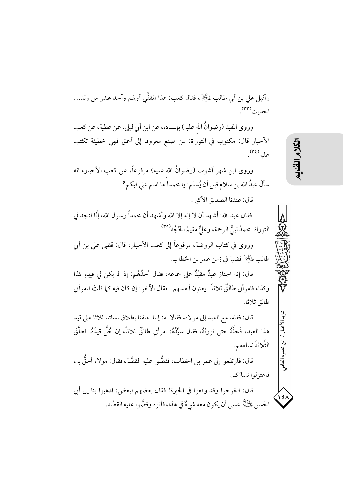وأقبل على بن أبي طالب لِمَلَيْلٍا ، فقال كعب: هذا المقفِّي أولهم وأحد عشر من ولده.. الحديث<sup>(٣٣)</sup>.

وروى المفيد (رضوانُ الله عليه) بإسناده، عن ابن أبي ليلي، عن عطية، عن كعب الأحبار قال: مكتوب في التوراة: من صنع معروفا إلى أحمق فهي خطيئة تكتب علبه<sup>(٣٤)</sup>.

وروى ابن شهر آشوب (رضوانٌ الله عليه) مرفوعاً، عن كعب الأحبار، انه سألَ عبدُ الله بن سلام قبل أن يُسلم: يا محمد! ما اسم على فيكم؟

قال: عندنا الصديق الأكبر .

فقال عبد الله: أشهد أن لا إله إلا الله وأشهد أن محمداً رسول الله، إنَّا لنجد في التوراة: محمدٌ نبيُّ الرحمة، وعليٌّ مقيمُ الحُجَّة<sup>(٣٥)</sup>.

وروى في كتاب الروضة، مرفوعاً إلى كعب الأحبار، قال: قضى على بن أبي طالب للتِّالِ قضية في زمن عمر بن الخطاب.

قال: إنه اجتاز عبدٌ مقيَّدٌ على جماعة، فقال أحدُهُم: إذا لم يكن في قيدِهِ كذا وكذا، فامر أتى طالقٌ ثلاثاً ــ يعنو ن أنفسهم ــ فقال الآخر : إن كان فيه كـما قلتَ فامر أتى طالق ثلاثا.

قال: فقاما مع العبد إلى مولاه، فقالا له: إننا حلفنا بطلاق نسائنا ثلاثا على قيد هذا العبد، فَحلَّهُ حتى نوزنَهُ، فقال سيِّدُهُ: امرأتي طالقٌ ثلاثاً، إن حُلَّ قيدُهُ. فطلَّقَ الثَّلاثةُ نساءهم.

قال: فارتفعوا إلى عمر بن الخطاب، فقصُّوا عليه القصَّة، فقال: مولاه أحقُّ به، فاعتزلوا نساءَكم.

قال: فخرجوا وقد وقعوا في الحيرة! فقال بعضهم لبعض: اذهبوا بنا إلى أبي الحسن لِلتِّلِلِ عسى أن يكون معه شيءٌ في هذا، فأتوه وقصُّوا عليه القصَّة. ミスミー

تنزيه الأخبار

ابن محمود العامل

 $\frac{12}{1}$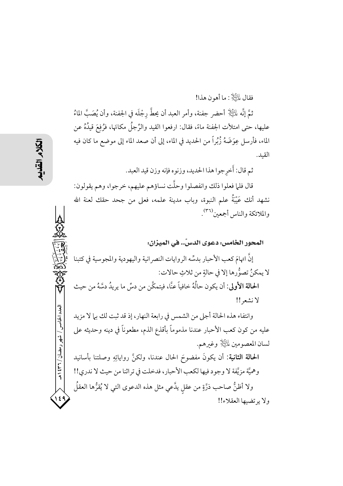فقال لِلتِّلِلَّةِ : ما أهو ن هذا!

ثمَّ إنَّه لِلَّتِلِ أحضر جفنة، وأمر العبد أن يحطَّ رجْلَه في الجفنة، وأن يُصَبَّ الماءُ عليها، حتى امتلأت الجفنة ماءً، فقال: ارفعوا القيد والرِّجلُ مكانَها، فرُفِعَ قيدُهُ عن الماء، فأرسل عِوَضَهُ زُبُراً من الحديد في الماء، إلى أن صعد الماء إلى موضع ما كان فيه القيد.

ثم قال: أُخرجوا هذا الحديد، وزنوه فإنه وزن قيد العبد.

قال فلما فعلوا ذلك وانفصلوا وحلَّت نساؤهم عليهم، خرجوا، وهم يقولون: نشهد أنك عَيْبَةُ علم النبوة، وباب مدينة علمه، فعلى من جحد حقك لعنة الله والملائكة والناس أجمعين <sup>(٣٦)</sup>.

المحور الخامس: دعوي الدسِّ.. في الميزان: إنَّ اتهامَ كعب الأحبار بدسِّه الروايات النصرانية واليهودية والمجوسية في كتبنا لا يمكنُ تصوُّرها إلا في حالةٍ من ثلاثِ حالات: الحالة الأولى: أن يكون حالُهُ خافياً عنَّا، فيتمكَّن من دسِّ ما يريدُ دسَّهُ من حيث لانشعر!! وانتفاء هذه الحالة أجلى من الشمس في رابعة النهار، إذ قد ثبت لك بيا لا مزيد عليه من كون كعب الأحبار عندنا مذموماً بأقذع الذم، مطعوناً في دينه وحديثه على لسان المعصومين لِلتِّلْلِ وغيرهم. الحالة الثانية: أن يكونَ مفضوحَ الحال عندنا، ولكنَّ رواياتِهِ وصلتنا بأسانيد وهميَّة مزيَّفة لا وجود فيها لكعب الأحبار، فدخلت في تراثنا من حيث لا ندري!! ولا أظنُّ صاحب ذرَّةٍ من عقل يدَّعي مثل هذه الدعوى التي لا يُقرُّها العقلُ ولا يرتضيها العقلاء!!

العدد الخامس / شهر رمضان / ۲۳۱ ه

 $\epsilon$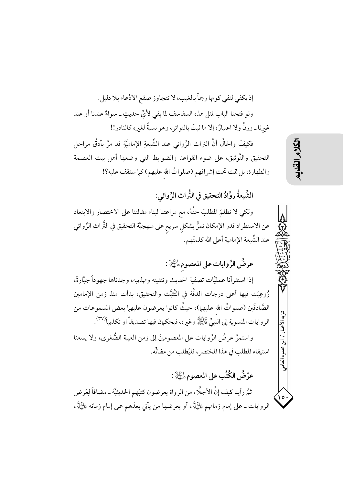إذ يكفي لنفي كونها رجماً بالغيب، لا تتجاوز صقع الادِّعاء بلا دليل. ولو فتحنا الباب لمثل هذه السفاسف لما بقى لأيٍّ حديثٍ ــ سواءٌ عندنا أو عند غيرنا ـ وزنٌ ولا اعتبارٌ، إلا ما ثبتَ بالتواتر، وهو نسبةً لغيره كالنادر!!

فكيفَ والحالُ أنَّ التراث الرِّوائي عند الشَّيعةِ الإماميَّةِ قد مرَّ بأدقِّ مراحل التحقيق والتَّوثيق، على ضوء القواعد والضوابط التي وضعها أهل بيت العصمة والطهارة، بل تمت تحت إشرافهم (صلواتُ الله عليهم) كما ستقف عليه؟!

الشِّيعةُ روَّادُ التحقيق في النُّراث الرِّوائي:

ولكي لا نظلمَ المطلبَ حقَّهُ، مع مراعتنا لبناء مقالتنا على الاختصار والابتعاد عن الاستطراد قدر الإمكان نمرُّ بشكلٍ سريع على منهجيَّة التحقيق في التُّراث الرِّوائي عند الشِّيعة الإمامية أعلى الله كلمتَهم.

عرضُ الرِّوايات على المعصوم عليَّةٍ :

إذا استقرأنا عمليَّات تصفية الحديث وتنقيته وتهذيبه، وجدناها جهوداً جبَّارةً، رُوعِيَت فيها أعلى درجات الدقَّة في التَّثبُّت والتحقيق، بدأت منذ زمن الإمامين الصَّادقَين (صلواتُ الله عليهم))، حيثُ كانوا يعرضون عليهما بعض المسموعات من الروايات المنسوبةِ إلى النَّبِيِّ ﷺ وغيره، فيحكمان فيها تصديقاً او تكذيباً (٣٧). واستمرَّ عرضُ الرِّوايات على المعصومينَ إلى زمن الغيبة الصُّغرى، ولا يسعنا استيفاء المطلب في هذا المختصر ، فليُطلب من مظانِّه. عرْضُ الكُتُب على المعصوم لِلتَلِلِ :

ثمَّ رأينا كيف إنَّ الأجلَّاء من الرواة يعرضون كتبَهم الحديثيَّة ـ مضافاً لِعَرض الروايات ــ على إمام زمانهم لِلنَّيِّلَإِ ، أو يعرضها من يأتي بعدَهم على إمام زمانه لِلنَّيْلَإِ ، تنزيه الأخدار

ابن محمود العامإ

٥١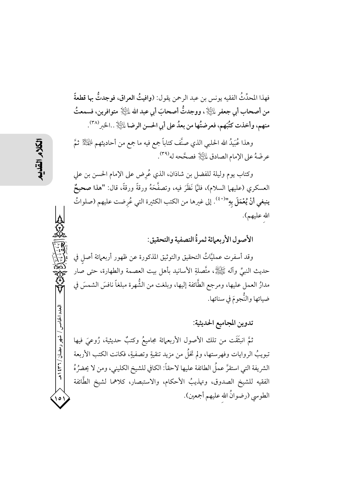فهذا المحدِّثُ الفقيه يونس بن عبد الرحمن يقول: (وافيتُ العراق، فوجدتُّ بها قطعةً من أصحاب أبي جعفر لِمَلِيَّالٍا ، ووجدتُّ أصحابَ أبي عبد الله لِمَلِيَّالٍا متوافرين، فسمعتُ منهم، وأخذت كتُبَهم، فعرضتُها من بعدُ على أبي الحسن الرضا ءليَّالِا …الخبر ٢٨٪.

وهذا عُبَيدُ الله الحلبي الذي صنَّف كتاباً جمع فيه ما جمع من أحاديثهم  $\mathbb{P}^{1\over 2}$ ثمَّ عرضَهُ على الإمام الصادق ءلتِّالِ فصحَّحه له(٣٩).

وكتابٍ يومٍ وليلة للفضل بن شاذان، الذي عُرِضٍ على الإمام الحسن بن على العسكري (عليهما السلام)، فلمَّا نَظَرَ فيه، وتصفَّحَهُ ورقةً ورقةً، قال: "هذا صحيحٌ ينبغي أنْ يُعْمَلَ بِهِ"<sup>(٤٠)</sup>. إلى غيرها من الكتب الكثيرة التي عُرضت عليهم (صلواتُ الله عليهم).

الأصول الأربعمائة ثمرةُ التصفية والتحقيق:

وقد أسفرت عمليَّاتُ التحقيق والتوثيق المذكورة عن ظهور أربعمائة أصل في حديث النبيِّ وآله ﷺ، متَّصلةِ الأسانيد بأهل بيت العصمة والطهارة، حتى صار مدارُ العمل عليها، ومرجع الطَّائفة إليها، وبلغت من الشُّهرة مبلغاً نافسَ الشمسَ في ضيائها والنُّجومَ في سنائها.

تدوين المجاميع الحديثية:

ثمَّ انبثقَت من تلك الأصول الأربعمائة مجاميعُ وكتبٌ حديثية، رُوعيَ فيها تبويبُ الروايات وفهرستها، ولم تخلُّ من مزيد تنقيةٍ وتصفيةٍ، فكانت الكتب الأربعة الشريفة التي استقرَّ عملُ الطائفة عليها لاحقاً: الكافي للشيخ الكليني، ومن لا يحضرُهُ الفقيه للشيخ الصدوق، وتهذيبُ الأحكام، والاستبصار، كلاهما لشيخ الطَّائفة الطوسي (رضوانُ الله عليهم أجمعين).

لعدد الخامس

اشهر رمضان / ۳۶ ا هـ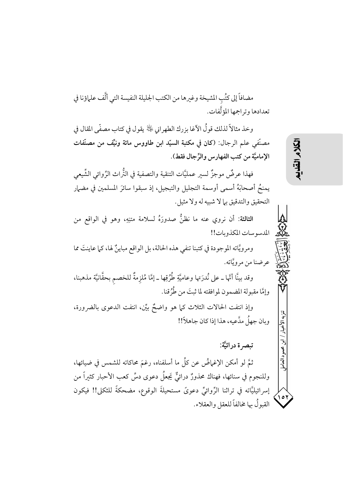مضافاً إلى كتُبِ المشيخة وغيرها من الكتبِ الجليلة النفيسة التي ألَّف علماؤنا في تعدادها وتراجمها المؤلَّفات.

وخذ مثالاً لذلك قو لُ الآغا بزرك الطهر اني ﴿ يَهْدُ يقول في كتابٍ مصفَّى المقال في مصنَّفي علم الرجال: (كان في مكتبة السيِّد ابن طاووس مائة ونيِّف من مصنَّفات الإماميَّة من كتب الفهارس والرِّجال فقط).

فهذا عرضٌ موجزٌ لسير عمليَّات التنقية والتصفية في التُّراث الرِّوائي الشِّيعي يمنحُ أصحابَهُ أسمى أوسمة التجليل والتبجيل، إذ سبقوا سائرَ المسلمين في مضهار التحقيق والتدقيق بيا لا شبيه له ولا مثيل.

الثالثة: أن نروي عنه ما نظنُّ صدورَهُ لسلامة متنِهِ، وهو في الواقع من المدسوسات المكذوبات!!

ومرويَّاته الموجودة في كتبنا تنفي هذه الحالة، بل الواقع مباينٌ لها، كما عاينتَ مما . عرضنا من مرويَّاته.

وقد بينَّا أنَّها ـ على نُدرَتها وعاميَّةِ طُرُقِها ـ إمَّا مُلزمةٌ للخصم بحقَّانيَّة مذهبنا، وإمَّا مقبولة المضمون لموافقته لما ثبتَ من طُرٌقنا.

وإذ انتفت الحالات الثلاث كما هو واضحٌ بيِّن، انتفت الدعوى بالضرورة، وبان جهلٌ مدَّعيه، هذا إذا كان جاهلاً!!

تىصە ة در ائيَّة:

ثمَّ لو أمكن الإغماضُ عن كلِّ ما أسلفناه، رغمَ محاكاته للشمس في ضيائها، وللنجوم في سنائها، فهناك محذورٌ درائيٌّ يَجعلُ دعوى دسٍّ كعب الأحبار كثيراً من إسرائيليَّاته في تراثنا الرِّوائيِّ دعويَّ مستحيلةَ الوقوع، مضحكةً للثكلي!! فيكون القبولُ بها مخالفاً للعقلِ والعقلاء. لكلام القلابه

تنزيه الأخداء

أبن محمود العامل

 $\sqrt{2}$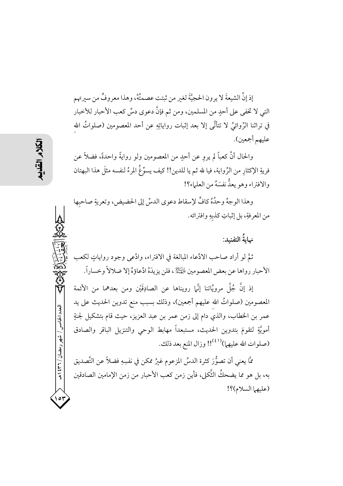إذ إنَّ الشيعةَ لا يرون الحجيَّةَ لغير من ثبتت عصمتُهُ، وهذا معروفٌ من سيرتهم التي لا تخفي على أحدٍ من المسلمين، ومن ثم فإنَّ دعوى دسٍّ كعب الأحبار للأخبار في تراثنا الرِّوائيِّ لا تتأتَّى إلا بعد إثبات رواياتِهِ عن أحد المعصومين (صلواتُ الله عليهم أجمعين).

والحال أنَّ كعباً لم يرو عن أحدٍ من المعصومين ولو روايةً واحدةً، فضلاً عن فريةِ الإكثارِ من الرِّواية، فيا لله ثم يا للدين!! كيف يسوِّغُ المرءُ لنفسه مثلَ هذا البهتان والافتراء وهو يعدُّ نفسَهُ من العلماء؟!

وهذا الوجهُ وحدُهُ كافٍّ لإسقاط دعوى الدسِّ إلى الحضيض، وتعريةِ صاحبِها من المعرفةِ، بل إثباتِ كذبهِ وافترائه.

نهايةُ التفنيد:

ثمَّ لو أراد صاحب الادِّعاء المبالغة في الافتراء، وادَّعى وجود رواياتٍ لكعب الأحبار رواها عن بعض المعصومين الصَّلَّةُ، فلن يزيدَهُ ادِّعاؤهُ إلا ضلالاً وخساراً.

إذ إنَّ جُلَّ مرويَّاتنا إنَّما رويناها عن الصادِقَيْن ومن بعدهما من الأئمة المعصومين (صلواتُ الله عليهم أجمعين)، وذلك بسبب منع تدوين الحديث على يد عمر بن الخطاب، والذي دام إلى زمن عمر بن عبد العزيز، حيث قام بتشكيل لجنةٍ أمويَّةٍ لتقومَ بتدوين الحديث، مستبعداً مهابط الوحي والتنزيل الباقر والصادق (صلوات الله عليهما)((٤١)! وزال المنع بعد ذلك.

مَّا يعني أن تصوُّرَ كثرة الدسِّ المزعوم غيرُ ممكن في نفسِهِ فضلاً عن التَّصديق به، بل هو مما يضحكُ الثَّكلي، فأين زمن كعب الأحبار من زمن الإمامين الصادقين (عليهما السلام)؟!

العدد الخامس / شهر رمضان / ۲۳۱ ه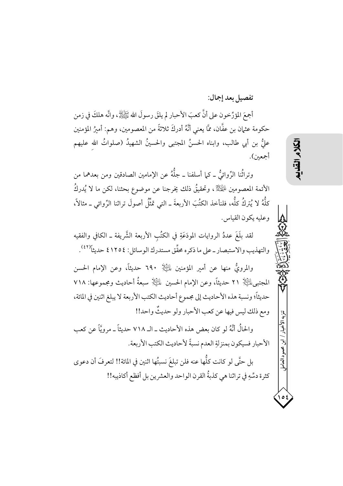تفصيل بعد إجمال:

أَجْمَ المؤرِّخون على أنَّ كعبَ الأحبار لم يلقَ رسولَ الله ﷺ، وانَّه هلكَ في زمن حكومة عثمان بن عفَّان، ممَّا يعني أنَّهُ أدركَ ثلاثةً من المعصومين، وهم: أميرُ المؤمنين عليٌّ بن أبي طالب، وابناه الحسنُ المجتبى والحسينُ الشهيدُ (صلواتُ الله عليهم أجمعين).

وتراثُنا الرِّوائيُّ ـ كيا أسلفنا ـ جلَّهُ عن الإمامين الصادقين ومن بعدهما من الأئمة المعصومين لِلهَيِّلْأ، وتحقيقُ ذلك يخرجنا عن موضوع بحثنا، لكن ما لا يُدركُ كلُّهُ لا يُتركُ كلُّه، فلنأخذ الكتُبَ الأربعةَ ــ التي تمثُّلُ أصولَ تراثنا الرِّوائي ــ مثالاً، وعليه يكون القياس.

لقد بلَغَ عددُ الروايات المودَعَةِ في الكتُب الأربعة الشَّريفة ـ الكافي والفقيه والتهذيب والاستبصار ــ على ما ذكره محقِّق مستدرك الوسائل: ١٢٥٤ ٤ حديثاً(٤٢).

والمرويُّ منها عن أمير المؤمنين لِلتِّلْإِ ٦٩٠ حديثاً، وعن الإمام الحسن المجتبي للطِّلْإ ٢١ حديثاً، وعن الإمام الحسين لماظِّلْإِ سبعةُ أحاديث ومجموعها: ٧١٨ حديثاً؛ ونسبة هذه الأحاديث إلى مجموع أحاديث الكتب الأربعة لا يبلغ اثنين في المائة، ومع ذلك ليس فيها عن كعب الأحبار ولو حديثٌ واحد!!

والحالُ أنَّهُ لو كان بعض هذه الأحاديث ــ الــ ٧١٨ حديثاً ــ مرويَّاً عن كعب الأحبار فسيكون بمنزلةِ العدم نسبةً لأحاديث الكتب الأربعة.

بل حتَّى لو كانت كلُّها عنه فلن تبلغَ نسبتُها اثنين في المائة!! لتعرفَ أن دعوى كثرة دسِّهِ في تراثنا هي كذبةُ القرن الواحد والعشرين بل أفظع أكاذيبه!! تنزيه الأخبار

ابن محمود العامل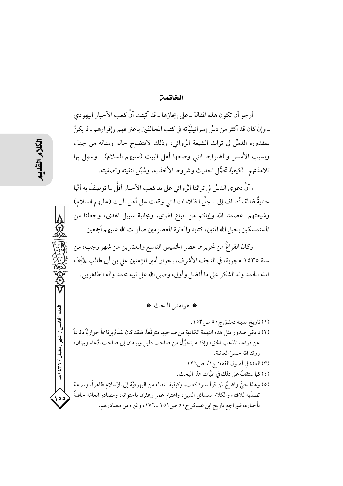## الخاتمت

أرجو أن تكون هذه المقالة ـ على إيجازها ـ قد أثبتت أنَّ كعب الأحبار اليهودي ـ وإنْ كان قد أكثر من دسِّ إسرائيليَّاته في كتب المخالفين باعترافهم وإقرارهم ـ لم يكنْ بِمقدورِه الدسِّ في تراث الشَّيعة الرِّوائي، وذلك لافتضاح حاله ومقاله من جهة، وبسبب الأسس والضوابط التي وضعها أهل البيت (عليهم السلام) ـ وعمِل بها تلامذتهم\_لكيفيَّة تحمُّل الحديث وشروط الأخذ به، وسُبُل تنقيته وتصفيته.

وأنَّ دعوى الدسِّ في تراثنا الرِّ وائي على يد كعب الأحبار أقلُّ ما توصفُ به أنَّها جنايةٌ ظالمة، تُضاف إلى سجلِّ الظلامات التي وقعت على أهل البيت (عليهم السلام) وشيعتهم. عصمنا الله وإياكم من اتباع الهوى، ومجانبة سبيل الهدى، وجعلنا من المستمسكين بحبل الله المتين، كتابه والعترة المعصومين صلوات الله عليهم أجمعين.

وكان الفراغُ من تحريرها عصر الخميس التاسع والعشرين من شهر رجب، من سنة ١٤٣٥ هجرية، في النجف الأشرف، بجوار أمير المؤمنين على بن أبي طالب للطِّلا ، فلله الحمد وله الشكر على ما أفضل وأولى، وصلى الله على نبيه محمد وآله الطاهرين.

## \* هوامش البحث \*

(١) تاريخ مدينة دمشق ج٥٠ ص١٥٣. (٢) لم يكن صدور مثل هذه التهمة الكاذبة من صاحبها متوقَّعاً، فلقد كان يقدِّمُ برنامجاً حواريَّاً دفاعاً عن قواعد المذهب الحق، وإذا به يتحوَّلُ من صاحب دليل وبرهان إلى صاحب ادِّعاء وبهتان، رز قنا الله حسنَ العاقبة. (٣) العدة في أصول الفقه: ج١/ ص٢٦. (٤) كما ستقفُ على ذلك في طيَّات هذا البحث. (٥) وهذا جلٌّ واضحٌ لمن قرأ سيرة كعب، وكيفية انتقاله من اليهوديَّة إلى الإسلام ظاهراً، وسرعة تصدِّيه للافتاء والكلام بمسائل الدين، واهتمام عمر وعثمان باحتوائه، ومصادر العامَّة حافلةٌ بأخباره، فلبراجع تاريخ ابن عساكر ج٥٠ ص١٥١\_١٧٦، وغبره من مصادرهم.

العدد الخامس

/ شهر رمضان / ۲۲۱ هـ

، ه ۱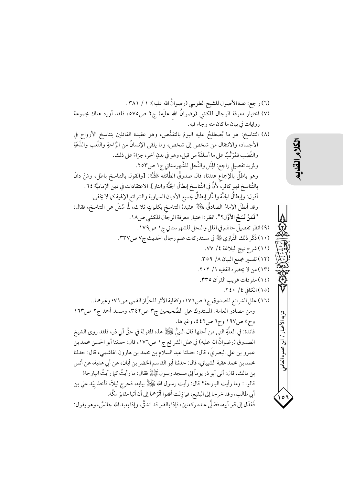(٦) راجع: عدة الأصول للشيخ الطوسي (رضوانُ الله عليه): ١ / ٣٨١ . (٧) اختيار معرفة الرجال للكشى (رضوانُ الله عليَه) ج٢ ص٥٧٥، فلقد أورد هناك مجموعة روايات في بيان ما كان منه وجاء فيه. (٨) التناسخ: هو ما يُصطلحُ عليه اليومَ بالتقمُّص، وهو عقيدة القائلين بتناسخ الأرواح في الأجساد، والانتقال من شخص إلى شخص، وما يلقى الإنسانُ من الرَّاحةِ والتَّعبِ والدَّعَةِ والنَّصَب فمُرَتَّبٌ على ما أسلفَهُ من قبل، وهو في بدنِ آخر ، جزاءً على ذلك. ولمزيد تفصيل راجع: اللِّل والنِّحل للشَّهرستاني ج١ ص٣٥٣. وهو باطلٌ بالإجماع عندنا، قال صدوقٌ الطَّائفة ﷺ: [والقول بالتناسخ باطل، ومَنْ دانَ بالتَّناسخ فهو كافر، لأنَّ في التَّناسخ إبطالَ الجَنَّة والنار]. الاعتقادات في دين الإماميَّة ٢٤. أقول: وإبطالُ الجنَّة والنَّار إبطالٌ لجميع الأديان السماوية والشرائع الإلهية كما لا يخفي. وقد أبطلَ الإمامُ الصادقُ لِلَّتِيلَا عقيدةَ التناسخ بكلماتٍ ثلاث، لَمَّا سُئلَ عن التناسخ، فقال: "فَمَنْ نَسَخَ الأَوَّلِ؟". انظر: اختيار معرفة الرجال للكشي ص١٨. (٩) انظر تفصيلَ حالهم في الملل والنحل للشهرستاني ج١ ص١٧٩. (١٠) ذَكَر ذلك النَّإزي ﷺ في مستدركات علم رجال الحديث ج٧ ص٣٣٧. (١١) شرح نهج البلاغة ٤/ ٧٧. (١٢) تفسير مجمع البيان ٨/ ٣٥٩. (١٣) من لا يحضره الفقيه ١/ ٢٠٢. (١٤) مفردات غريب القرآن ٣٣٥. (١٥) الكافي ٤/ ٢٤٠. (١٦) علل الشرائع للصدوق ج١ ص١٧٦، وكفاية الأثر للخزَّاز القمي ص١٧١؛ وغيرهما.. ومن مصادر العامة: المستدرك على الصَّحيحين ج٣ ص٢٤٢، ومسند أحمد ج٢ ص١٦٣ وج٥ ص١٩٧ وج٦ ص٤٤٢، وغيرها. فائدة: في العلَّةِ التي من أجلها قال النبيُّ ﷺ هذه المقولة في حقٍّ أبي ذر، فلقد روى الشيخ الصدوق (رضوانُ الله عليه) في علل الشرائع ج١ ص١٧٦، قال: حدثنا أبو الحسن محمد بن عمرو بن علي البصريَ، قال: حدثنا عبد السلام بن محمد بن هارون الهاشمي، قال: حدثنا محمد بن محمد عقبة الشيباني، قال: حدثنا أبو القاسم الخضر بن أبان، عن أبي هدبة، عن أنس بن مالك، قال: أتى أبو ذر يوماً إلى مسجد رسول ﷺ فقال: ما رأيتُ كما رأيتُ البارحة! قالوا : وما رأيت البارحة؟ قال: رأيت رسول الله ﷺ ببابه، فخرج ليلاً، فأخذ بيَد على بن أبي طالب، وقد خرجا إلى البقيع، فما زلت أقفوا أثَرَهما إلى أن أتيا مقابرَ مكَّة. فَعَدَل إلى قبر أبيه، فصَلَّى عنده ركعتين، فإذا بالقبر قد انشقَّ، وإذا بعبد الله جالسٌ، وهو يقول:

تنزيه الأخبار / ابن محمود العامل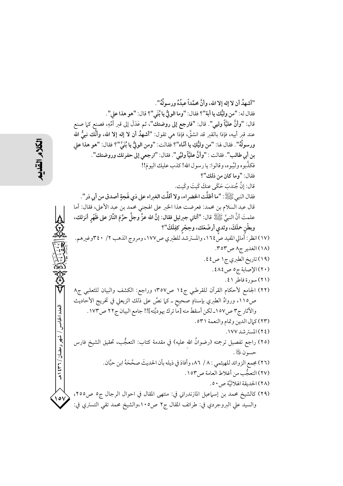"أشهدُ أن لا إله إلا الله، وأنَّ محمَّداً عبدُهُ ورسولُهُ". فقال له: "من وليُّك يا أبة"؟ فقال: "وما الولُّ يا بُنَى"؟ قال: "هو هذا على". قال: "وأنَّ عليَّأَ وليي". قال: "فارجع إلى روضتك"، ثم عَدَلَ إلى قبر أُمِّهِ، فصنع كما صنع عند قبر أبيه، فإذا بالقبر قد انشقَّ، فإذا هي تقول: "أشهدُ أن لا إله إلا الله، وأنَّك نبيُّ الله ورسولُهُ". فقال لها: "من وليُّكِ يا أمَّاه"؟ فقالت: "ومن الوليُّ يا بُنَيَّ"؟ فقال: "هو هذا على بن أبي طالب". فقالت : "وأنَّ عليَّاً وليِّي". فقال: "ارجعي إلى حفرتك وروضتك". فكذَّبوه ولبَّبوه، وقالوا: يا رسول الله! كذب عليك اليومَ!! فقال: "وما كان من ذلك"؟ قال: إنَّ جُندبَ حَكَى عنكَ كَيتَ وكَيت. فقال النبي ﷺ: "ما أظلَّت الخضراء، ولا أقلَّت الغبراء على ذي لَهجةٍ أصدق من أبي ذر". قال عبد السلام بن محمد: فعرضت هذا الخبر على الهجني محمد بن عبد الأعلى، فقال: أما علمتَ أنَّ النبيَّ ﷺ قال: "أتاني جبرئيل فقال: إنَّ الله عزَّ وجلَّ حرَّمَ النَّارَ على ظَهْر أنزلك، وبطْنِ حملَكَ، وثدي أرضَعَك، وحِجْرِ كفِلَكَ''؟ (١٧) انظر : أَمالي المفيد صَّ ١٦٤، والمسترشد للطبري ص١٧٧، ومروج الذهب ٢/ ٤٠٣وغيرهم. (١٨) الغدير ج٨ ص٣٥٣. (١٩) تاريخ الطبري ج١ ص٤٤. (٢٠) الإصابة ج٥ ص٤٨٤. (٢١) سورة فاطر ٤١. (٢٢) الجامع لأحكام القرآن للقرطبي ج١٤ ص٣٥٧؛ وراجع: الكشف والبيان للثعلبي ج٨ ص١١٥، ورواهُ الطبري بإسنادٍ صحيحٍ ـ كما نصَّ على ذلك الزيعلي في تخريج الأحاديث العدد الخامس / شهر رمضان / ۲۳۱ ه والآثار ج٣ ص١٥٧ـ لكن أسقطَ منه [ماً ترك يهوديَّته]!! جامع البيان ج٢٢ ص١٧٣. (٢٣) كمال الدين وتمام والنعمة ٥٣١. (٢٤) المستر شد ١٧٧. (٢٥) راجع تفصيل ترجمته (رضوانُ الله عليه) في مقدمة كتاب: التعجُّب، تحقيق الشيخ فارس حسه ن ﷺ. (٢٦) مجمع الزوائد للهيثمي : ٨ / ٨٦، وأفادَ في ذيله بأن الحديثَ صحَّحَهُ ابن حبَّان. (٢٧) التعجُّب من أغلاط العامة ص١٥٣. (٢٨) الحديقة الهلاليَّة ص ٥٠. (٢٩) كالشيخ محمد بن إسماعيل المازندراني في: منتهى المقال في احوال الرجال ج٥ ص٢٥٥، والسيد على البروجردي في: طرائف المقال ج٢ ص١٠٥،والشيخ محمد تقى التستري في: